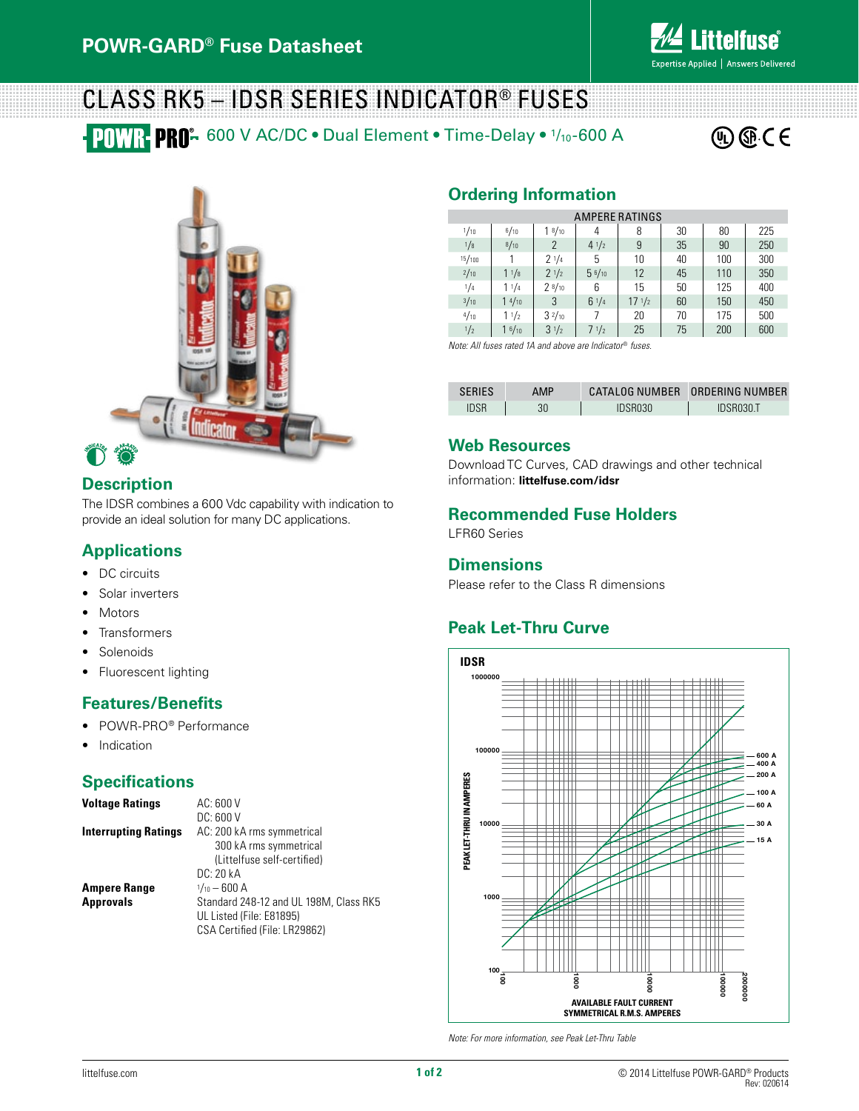

# Class RK5 – IDSR Series indicator® fuses

**POWR PRO-** 600 V AC/DC • Dual Element • Time-Delay • 1/10-600 A





### **Description**

The IDSR combines a 600 Vdc capability with indication to provide an ideal solution for many DC applications.

#### **Applications**

- DC circuits
- Solar inverters
- • Motors
- • Transformers
- **Solenoids**
- Fluorescent lighting

#### **Features/Benefits**

- POWR-PRO® Performance
- Indication

#### **Specifications**

| <b>Voltage Ratings</b>      | AC: 600 V                              |  |  |  |  |  |
|-----------------------------|----------------------------------------|--|--|--|--|--|
|                             | DC: 600V                               |  |  |  |  |  |
| <b>Interrupting Ratings</b> | AC: 200 kA rms symmetrical             |  |  |  |  |  |
|                             | 300 kA rms symmetrical                 |  |  |  |  |  |
|                             | (Littelfuse self-certified)            |  |  |  |  |  |
|                             | DC: 20 kA                              |  |  |  |  |  |
| <b>Ampere Range</b>         | $1/10 - 600$ A                         |  |  |  |  |  |
| <b>Approvals</b>            | Standard 248-12 and UL 198M, Class RK5 |  |  |  |  |  |
|                             | UL Listed (File: E81895)               |  |  |  |  |  |
|                             | CSA Certified (File: LR29862)          |  |  |  |  |  |

# **Ordering Information**

| <b>AMPERE RATINGS</b> |                    |                  |                 |                  |    |     |     |  |  |  |
|-----------------------|--------------------|------------------|-----------------|------------------|----|-----|-----|--|--|--|
| 1/10                  | 6/10               | $1 \frac{8}{10}$ | 4               | 8                | 30 | 80  | 225 |  |  |  |
| 1/8                   | 8/10               | 2                | $4 \frac{1}{2}$ | 9                | 35 | 90  | 250 |  |  |  |
| 15/100                |                    | 21/4             | 5               | 10               | 40 | 100 | 300 |  |  |  |
| 2/10                  | 11/8               | 21/2             | 56/10           | 12               | 45 | 110 | 350 |  |  |  |
| 1/4                   | 11/4               | 28/10            | 6               | 15               | 50 | 125 | 400 |  |  |  |
| 3/10                  | 14/10              | 3                | 61/4            | $17 \frac{1}{2}$ | 60 | 150 | 450 |  |  |  |
| 4/10                  | 11/2               | $3^{2}/_{10}$    | 7               | 20               | 70 | 175 | 500 |  |  |  |
| 1/2                   | 1 <sup>6</sup> /10 | $3^{1/2}$        | $7 \frac{1}{2}$ | 25               | 75 | 200 | 600 |  |  |  |

*Note: All fuses rated 1A and above are Indicator*® *fuses.*

| <b>SERIES</b> | AMP |         | CATALOG NUMBER ORDERING NUMBER |
|---------------|-----|---------|--------------------------------|
| IDSR          | 30  | IDSR030 | IDSR030.T                      |

#### **Web Resources**

Download TC Curves, CAD drawings and other technical information: **littelfuse.com/idsr**

#### **Recommended Fuse Holders**

LFR60 Series

#### **Dimensions**

Please refer to the Class R dimensions

# **Peak Let-Thru Curve**



*Note: For more information, see Peak Let-Thru Table*